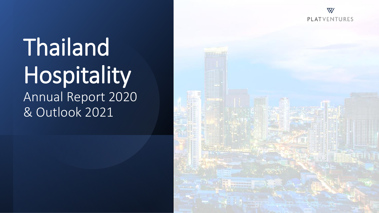$\overline{\nabla}$ **PLATVENTURES** 

# Thailand Hospitality Annual Report 2020 & Outlook 2021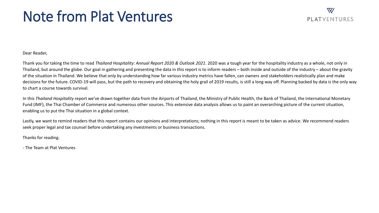## Note from Plat Ventures

### $\boldsymbol{\nabla}$ PI ATVENTURES

Dear Reader,

Thank you for taking the time to read *Thailand Hospitality: Annual Report 2020 & Outlook 2021*. 2020 was a tough year for the hospitality industry as a whole, not only in Thailand, but around the globe. Our goal in gathering and presenting the data in this report is to inform readers – both inside and outside of the industry – about the gravity of the situation in Thailand. We believe that only by understanding how far various industry metrics have fallen, can owners and stakeholders realistically plan and make decisions for the future. COVID-19 will pass, but the path to recovery and obtaining the holy grail of 2019 results, is still a long way off. Planning backed by data is the only way to chart a course towards survival.

In this *Thailand Hospitality* report we've drawn together data from the Airports of Thailand, the Ministry of Public Health, the Bank of Thailand, the International Monetary Fund (IMF), the Thai Chamber of Commerce and numerous other sources. This extensive data analysis allows us to paint an overarching picture of the current situation, enabling us to put the Thai situation in a global context.

Lastly, we want to remind readers that this report contains our opinions and interpretations; nothing in this report is meant to be taken as advice. We recommend readers seek proper legal and tax counsel before undertaking any investments or business transactions.

Thanks for reading.

- The Team at Plat Ventures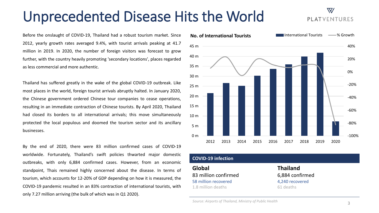## Unprecedented Disease Hits the World

Before the onslaught of COVID-19, Thailand had a robust tourism market. Since 2012, yearly growth rates averaged 9.4%, with tourist arrivals peaking at 41.7 million in 2019. In 2020, the number of foreign visitors was forecast to grow further, with the country heavily promoting 'secondary locations', places regarded as less commercial and more authentic.

Thailand has suffered greatly in the wake of the global COVID-19 outbreak. Like most places in the world, foreign tourist arrivals abruptly halted. In January 2020, the Chinese government ordered Chinese tour companies to cease operations, resulting in an immediate contraction of Chinese tourists. By April 2020, Thailand had closed its borders to all international arrivals; this move simultaneously protected the local populous and doomed the tourism sector and its ancillary businesses.

By the end of 2020, there were 83 million confirmed cases of COVID-19 worldwide. Fortunately, Thailand's swift policies thwarted major domestic outbreaks, with only 6,884 confirmed cases. However, from an economic standpoint, Thais remained highly concerned about the disease. In terms of tourism, which accounts for 12-20% of GDP depending on how it is measured, the COVID-19 pandemic resulted in an 83% contraction of international tourists, with only 7.27 million arriving (the bulk of which was in Q1 2020).



#### **COVID-19 infection**

**Global** 83 million confirmed 58 million recovered 1.8 million deaths

**Thailand**  6,884 confirmed 4,240 recovered 61 deaths

### $\boldsymbol{\nabla}$ **PLATVENTURES**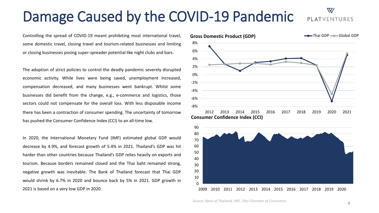## Damage Caused by the COVID-19 Pandemic

Controlling the spread of COVID-19 meant prohibiting most international travel, some domestic travel, closing travel and tourism-related businesses and limiting or closing businesses posing super-spreader potential like night clubs and bars.

The adoption of strict policies to control the deadly pandemic severely disrupted economic activity. While lives were being saved, unemployment increased, compensation decreased, and many businesses went bankrupt. Whilst some businesses did benefit from the change, e.g., e-commerce and logistics, those sectors could not compensate for the overall loss. With less disposable income there has been a contraction of consumer spending. The uncertainty of tomorrow has pushed the Consumer Confidence Index (CCI) to an all-time low.

In 2020, the International Monetary Fund (IMF) estimated global GDP would decrease by 4.9%, and forecast growth of 5.4% in 2021. Thailand's GDP was hit harder than other countries because Thailand's GDP relies heavily on exports and tourism. Because borders remained closed and the Thai baht remained strong, negative growth was inevitable. The Bank of Thailand forecast that Thai GDP would shrink by 6.7% in 2020 and bounce back by 5% in 2021. GDP growth in 2021 is based on a very low GDP in 2020.





#### *Source: Bank of Thailand, IMF, Thai Chamber of Commerce*

## PLATVENTURES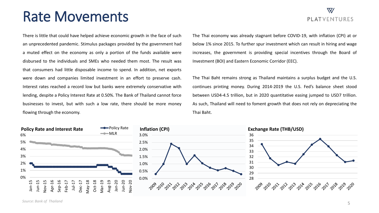### Rate Movements

There is little that could have helped achieve economic growth in the face of such an unprecedented pandemic. Stimulus packages provided by the government had a muted effect on the economy as only a portion of the funds available were disbursed to the individuals and SMEs who needed them most. The result was that consumers had little disposable income to spend. In addition, net exports were down and companies limited investment in an effort to preserve cash. Interest rates reached a record low but banks were extremely conservative with lending, despite a Policy Interest Rate at 0.50%. The Bank of Thailand cannot force businesses to invest, but with such a low rate, there should be more money flowing through the economy.

The Thai economy was already stagnant before COVID-19, with inflation (CPI) at or below 1% since 2015. To further spur investment which can result in hiring and wage increases, the government is providing special incentives through the Board of Investment (BOI) and Eastern Economic Corridor (EEC).

The Thai Baht remains strong as Thailand maintains a surplus budget and the U.S. continues printing money. During 2014-2019 the U.S. Fed's balance sheet stood between USD4-4.5 trillion, but in 2020 quantitative easing jumped to USD7 trillion. As such, Thailand will need to foment growth that does not rely on depreciating the Thai Baht.



### $\overline{\nabla}$ **PLATVENTURES**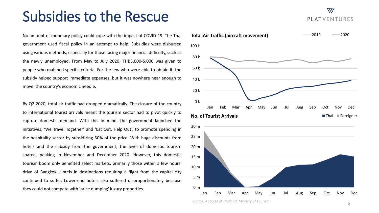### Subsidies to the Rescue

No amount of monetary policy could cope with the impact of COVID-19. The Thai government used fiscal policy in an attempt to help. Subsidies were disbursed using various methods, especially for those facing major financial difficulty, such as the newly unemployed. From May to July 2020, THB3,000-5,000 was given to people who matched specific criteria. For the few who were able to obtain it, the subsidy helped support immediate expenses, but it was nowhere near enough to move the country's economic needle.

By Q2 2020, total air traffic had dropped dramatically. The closure of the country to international tourist arrivals meant the tourism sector had to pivot quickly to capture domestic demand. With this in mind, the government launched the initiatives, 'We Travel Together' and 'Eat Out, Help Out', to promote spending in the hospitality sector by subsidizing 50% of the price. With huge discounts from hotels and the subsidy from the government, the level of domestic tourism soared, peaking in November and December 2020. However, this domestic tourism boom only benefited select markets, primarily those within a few hours' drive of Bangkok. Hotels in destinations requiring a flight from the capital city continued to suffer. Lower-end hotels also suffered disproportionately because they could not compete with 'price dumping' luxury properties.



**PLATVENTURES** 

 $\boldsymbol{\nabla}$ 

*Source: Airports of Thailand, Ministry of Tourism*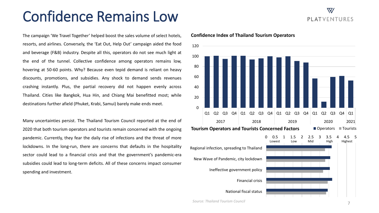## Confidence Remains Low

The campaign 'We Travel Together' helped boost the sales volume of select hotels, resorts, and airlines. Conversely, the 'Eat Out, Help Out' campaign aided the food and beverage (F&B) industry. Despite all this, operators do not see much light at the end of the tunnel. Collective confidence among operators remains low, hovering at 50-60 points. Why? Because even tepid demand is reliant on heavy discounts, promotions, and subsidies. Any shock to demand sends revenues crashing instantly. Plus, the partial recovery did not happen evenly across Thailand. Cities like Bangkok, Hua Hin, and Chiang Mai benefitted most; while destinations further afield (Phuket, Krabi, Samui) barely make ends meet.

Many uncertainties persist. The Thailand Tourism Council reported at the end of 2020 that both tourism operators and tourists remain concerned with the ongoing pandemic. Currently, they fear the daily rise of infections and the threat of more lockdowns. In the long-run, there are concerns that defaults in the hospitality sector could lead to a financial crisis and that the government's pandemic-era subsidies could lead to long-term deficits. All of these concerns impact consumer spending and investment.

### $\Omega$ 20 40 60 80 100 120 Q1 Q2 Q3 Q4 Q1 Q2 Q3 Q4 Q1 Q2 Q3 Q4 Q1 Q2 Q3 Q4 Q1 2017 2018 2019 2020 2021 0 0.5 1 1.5 2 2.5 3 3.5 4 4.5 5 Regional infection, spreading to Thailand New Wave of Pandemic, city lockdown Ineffective government policy Financial crisis National fiscal status **Tourism Operators and Tourists Concerned Factors Concerned Factors Convertions** Lowest Low Mid High Highest

#### **Confidence Index of Thailand Tourism Operators**

*Source: Thailand Tourism Council*

### $\boldsymbol{\nabla}$ **PLATVENTURES**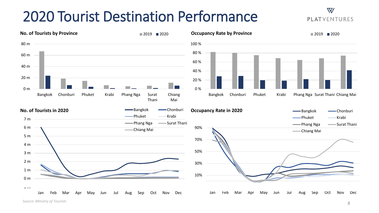## 2020 Tourist Destination Performance



### $\nabla$ **PLATVENTURES**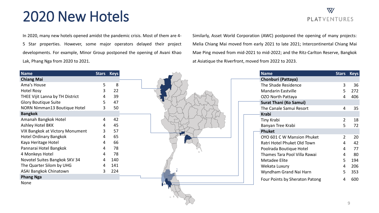## 2020 New Hotels

### $\nabla$ **PLATVENTURES**

In 2020, many new hotels opened amidst the pandemic crisis. Most of them are 4- 5 Star properties. However, some major operators delayed their project developments. For example, Minor Group postponed the opening of Avani Khao Lak, Phang Nga from 2020 to 2021.

Similarly, Asset World Corporation (AWC) postponed the opening of many projects: Melia Chiang Mai moved from early 2021 to late 2021; Intercontinental Chiang Mai Mae Ping moved from mid-2021 to mid-2022; and the Ritz-Carlton Reserve, Bangkok at Asiatique the Riverfront, moved from 2022 to 2023.

| <b>Name</b>                     |   | <b>Stars Keys</b> |  | <b>Name</b>                    |                           | Stars Keys |
|---------------------------------|---|-------------------|--|--------------------------------|---------------------------|------------|
| <b>Chiang Mai</b>               |   |                   |  | Chonburi (Pattaya)             |                           |            |
| Ama's House                     | 5 | 8                 |  | The Shade Residence            |                           | 36         |
| <b>Hotel Rosy</b>               | 3 | 22                |  | Mandarin Eastville             | 5                         | 272        |
| THEE Vijit Lanna by TH District |   | 39                |  | OZO North Pattaya              | 4                         | 406        |
| <b>Glory Boutique Suite</b>     | 5 | 47                |  | <b>Surat Thani (Ko Samui)</b>  |                           |            |
| NORN Nimman13 Boutique Hotel    | 3 | 50                |  | The Canale Samui Resort        | 4                         | 35         |
| <b>Bangkok</b>                  |   |                   |  | <b>Krabi</b>                   |                           |            |
| Amanah Bangkok Hotel            | 4 | 42                |  | Tiny Krabi                     |                           | 18         |
| Ashley Hotel BKK                | 4 | 45                |  | Banyan Tree Krabi              |                           | 72         |
| VIX Bangkok at Victory Monument | 3 | 57                |  | Phuket                         |                           |            |
| <b>Hotel Ordinary Bangkok</b>   | 4 | 65                |  | OYO 601 C W Mansion Phuket     | $\mathbf{2}^{\mathsf{I}}$ | 20         |
| Kaya Heritage Hotel             | 4 | 66                |  | Ratri Hotel Phuket Old Town    | 4                         | 42         |
| Pannarai Hotel Bangkok          | 4 | 78                |  | Poolrada Boutique Hotel        | 4                         | 77         |
| 4 Monkeys Hotel                 |   | 78                |  | Thames Tara Pool Villa Rawai   | 4                         | 80         |
| Novotel Suites Bangkok SKV 34   |   | 140               |  | Metadee Elite                  | 5                         | 194        |
| The Quarter Silom by UHG        | 4 | 141               |  | Wekata Luxury                  | 4                         | 206        |
| ASAI Bangkok Chinatown          | 3 | 224               |  | Wyndham Grand Nai Harn         | 5                         | 353        |
| <b>Phang Nga</b>                |   |                   |  | Four Points by Sheraton Patong | 4                         | 600        |
| None                            |   |                   |  |                                |                           |            |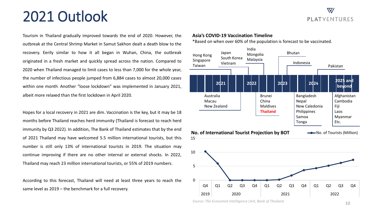## 2021 Outlook

Tourism in Thailand gradually improved towards the end of 2020. However, the outbreak at the Central Shrimp Market in Samut Sakhon dealt a death blow to the recovery. Eerily similar to how it all began in Wuhan, China, the outbreak originated in a fresh market and quickly spread across the nation. Compared to 2020 when Thailand managed to limit cases to less than 7,000 for the whole year, the number of infectious people jumped from 6,884 cases to almost 20,000 cases within one month. Another "loose lockdown" was implemented in January 2021, albeit more relaxed than the first lockdown in April 2020.

Hopes for a local recovery in 2021 are dim. Vaccination is the key, but it may be 18 months before Thailand reaches herd immunity (Thailand is forecast to reach herd immunity by Q3 2022). In addition, The Bank of Thailand estimates that by the end of 2021 Thailand may have welcomed 5.5 million international tourists, but this number is still only 13% of international tourists in 2019. The situation may continue improving if there are no other internal or external shocks. In 2022, Thailand may reach 23 million international tourists, or 55% of 2019 numbers.

According to this forecast, Thailand will need at least three years to reach the same level as 2019 – the benchmark for a full recovery.

#### **Asia's COVID-19 Vaccination Timeline**

\*Based on when over 60% of the population is forecast to be vaccinated.



Q4 Q1 Q2 Q3 Q4 Q1 Q2 Q3 Q4 Q1 Q2 Q3 Q4

2019 2020 2021 2022



0

 $\overline{\nabla\!V}$ 

**PLATVENTURES**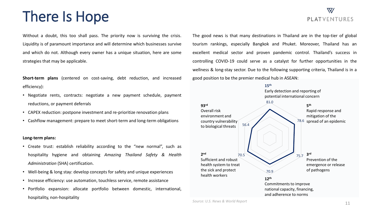## There Is Hope

Without a doubt, this too shall pass. The priority now is surviving the crisis. Liquidity is of paramount importance and will determine which businesses survive and which do not. Although every owner has a unique situation, here are some strategies that may be applicable.

**Short-term plans** (centered on cost-saving, debt reduction, and increased efficiency):

- Negotiate rents, contracts: negotiate a new payment schedule, payment reductions, or payment deferrals
- CAPEX reduction: postpone investment and re-prioritize renovation plans
- Cashflow management: prepare to meet short-term and long-term obligations

#### **Long-term plans:**

- Create trust: establish reliability according to the "new normal", such as hospitality hygiene and obtaining *Amazing Thailand Safety & Health Administration* (SHA) certification.
- Well-being & long stay: develop concepts for safety and unique experiences
- Increase efficiency: use automation, touchless service, remote assistance
- Portfolio expansion: allocate portfolio between domestic, international, hospitality, non-hospitality

### $\nabla\! V$ PI ATVENTURES

The good news is that many destinations in Thailand are in the top-tier of global tourism rankings, especially Bangkok and Phuket. Moreover, Thailand has an excellent medical sector and proven pandemic control. Thailand's success in controlling COVID-19 could serve as a catalyst for further opportunities in the wellness & long-stay sector. Due to the following supporting criteria, Thailand is in a good position to be the premier medical hub in ASEAN:



*Source: U.S. News & World Report*